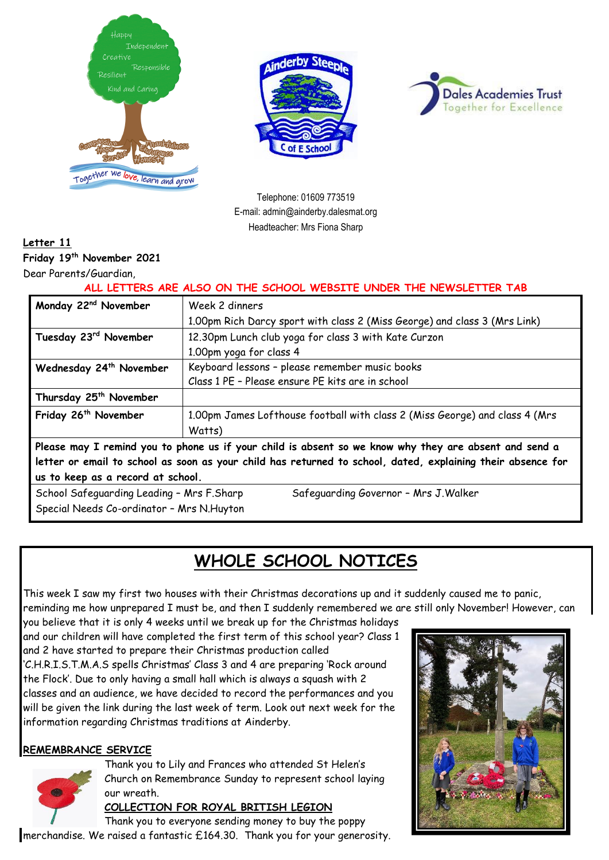





Telephone: 01609 773519 E-mail: admin@ainderby.dalesmat.org Headteacher: Mrs Fiona Sharp

### **Letter 11**

**Friday 19 th November 2021**

Dear Parents/Guardian,

**ALL LETTERS ARE ALSO ON THE SCHOOL WEBSITE UNDER THE NEWSLETTER TAB**

| Monday 22 <sup>nd</sup> November                                                                                                                                                                                                                          | Week 2 dinners                                                                        |
|-----------------------------------------------------------------------------------------------------------------------------------------------------------------------------------------------------------------------------------------------------------|---------------------------------------------------------------------------------------|
|                                                                                                                                                                                                                                                           | 1.00pm Rich Darcy sport with class 2 (Miss George) and class 3 (Mrs Link)             |
| Tuesday 23rd November                                                                                                                                                                                                                                     | 12.30pm Lunch club yoga for class 3 with Kate Curzon                                  |
|                                                                                                                                                                                                                                                           | 1.00pm yoga for class 4                                                               |
| Wednesday 24 <sup>th</sup> November                                                                                                                                                                                                                       | Keyboard lessons - please remember music books                                        |
|                                                                                                                                                                                                                                                           | Class 1 PE - Please ensure PE kits are in school                                      |
| Thursday 25 <sup>th</sup> November                                                                                                                                                                                                                        |                                                                                       |
| Friday 26 <sup>th</sup> November                                                                                                                                                                                                                          | 1.00pm James Lofthouse football with class 2 (Miss George) and class 4 (Mrs<br>Watts) |
| Please may I remind you to phone us if your child is absent so we know why they are absent and send a<br>letter or email to school as soon as your child has returned to school, dated, explaining their absence for<br>us to keep as a record at school. |                                                                                       |
| School Safeguarding Leading - Mrs F.Sharp<br>Safeguarding Governor - Mrs J. Walker<br>Special Needs Co-ordinator - Mrs N. Huyton                                                                                                                          |                                                                                       |

# **WHOLE SCHOOL NOTICES**

This week I saw my first two houses with their Christmas decorations up and it suddenly caused me to panic, reminding me how unprepared I must be, and then I suddenly remembered we are still only November! However, can

you believe that it is only 4 weeks until we break up for the Christmas holidays and our children will have completed the first term of this school year? Class 1 and 2 have started to prepare their Christmas production called 'C.H.R.I.S.T.M.A.S spells Christmas' Class 3 and 4 are preparing 'Rock around the Flock'. Due to only having a small hall which is always a squash with 2 classes and an audience, we have decided to record the performances and you will be given the link during the last week of term. Look out next week for the information regarding Christmas traditions at Ainderby.

#### **REMEMBRANCE SERVICE**



Thank you to Lily and Frances who attended St Helen's Church on Remembrance Sunday to represent school laying our wreath.

#### **COLLECTION FOR ROYAL BRITISH LEGION**

Thank you to everyone sending money to buy the poppy me[rchandise](https://en.wikipedia.org/wiki/File:Royal_British_Legion%27s_Paper_Poppy_-_white_background.jpg). We raised a fantastic £164.30. Thank you for your generosity.

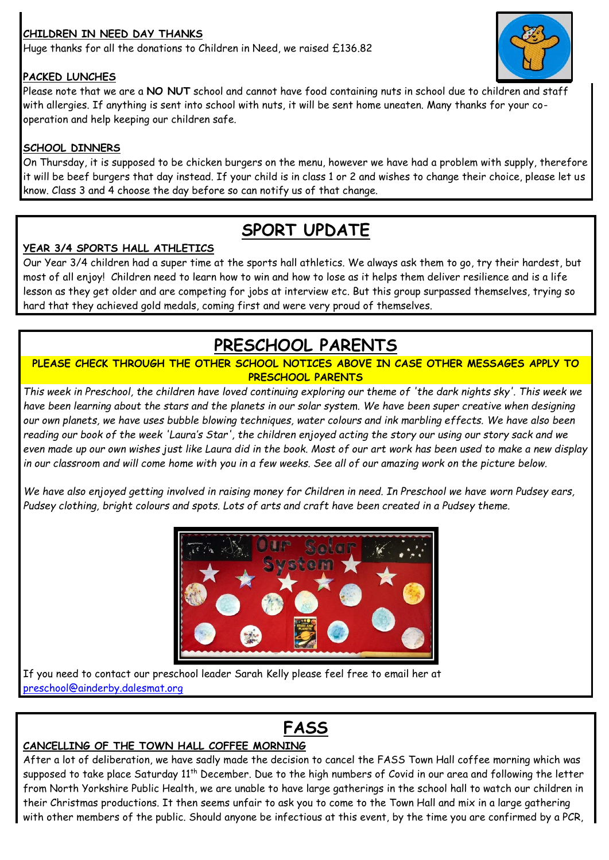### **CHILDREN IN NEED DAY THANKS**

Huge thanks for all the donations to Children in Need, we raised £136.82

#### **PACKED LUNCHES**

Please note that we are a **NO NUT** school and cannot have food containing nuts in school due to chil[dren and st](https://www.flickr.com/photos/49968232@N00/13948035074)aff with allergies. If anything is sent into school with nuts, it will be sent home uneaten. Many thanks for your cooperation and help keeping our children safe.

#### **SCHOOL DINNERS**

On Thursday, it is supposed to be chicken burgers on the menu, however we have had a problem with supply, therefore it will be beef burgers that day instead. If your child is in class 1 or 2 and wishes to change their choice, please let us know. Class 3 and 4 choose the day before so can notify us of that change.

### **SPORT UPDATE**

#### **YEAR 3/4 SPORTS HALL ATHLETICS**

Our Year 3/4 children had a super time at the sports hall athletics. We always ask them to go, try their hardest, but most of all enjoy! Children need to learn how to win and how to lose as it helps them deliver resilience and is a life lesson as they get older and are competing for jobs at interview etc. But this group surpassed themselves, trying so hard that they achieved gold medals, coming first and were very proud of themselves.

## **PRESCHOOL PARENTS**

#### **PLEASE CHECK THROUGH THE OTHER SCHOOL NOTICES ABOVE IN CASE OTHER MESSAGES APPLY TO PRESCHOOL PARENTS**

*This week in Preschool, the children have loved continuing exploring our theme of 'the dark nights sky'. This week we have been learning about the stars and the planets in our solar system. We have been super creative when designing our own planets, we have uses bubble blowing techniques, water colours and ink marbling effects. We have also been reading our book of the week 'Laura's Star', the children enjoyed acting the story our using our story sack and we even made up our own wishes just like Laura did in the book. Most of our art work has been used to make a new display in our classroom and will come home with you in a few weeks. See all of our amazing work on the picture below.*

*We have also enjoyed getting involved in raising money for Children in need. In Preschool we have worn Pudsey ears, Pudsey clothing, bright colours and spots. Lots of arts and craft have been created in a Pudsey theme.*



# **FASS**

#### **CANCELLING OF THE TOWN HALL COFFEE MORNING**

After a lot of deliberation, we have sadly made the decision to cancel the FASS Town Hall coffee morning which was supposed to take place Saturday 11<sup>th</sup> December. Due to the high numbers of Covid in our area and following the letter from North Yorkshire Public Health, we are unable to have large gatherings in the school hall to watch our children in their Christmas productions. It then seems unfair to ask you to come to the Town Hall and mix in a large gathering with other members of the public. Should anyone be infectious at this event, by the time you are confirmed by a PCR,